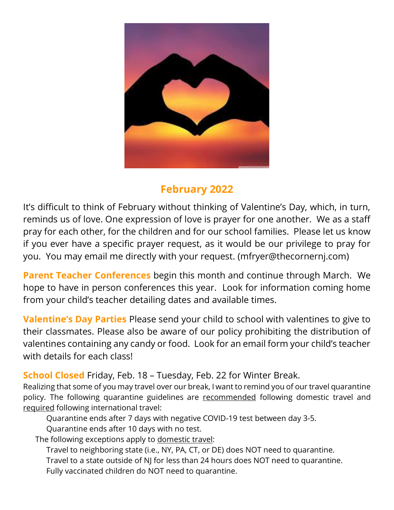

# **February 2022**

It's difficult to think of February without thinking of Valentine's Day, which, in turn, reminds us of love. One expression of love is prayer for one another. We as a staff pray for each other, for the children and for our school families. Please let us know if you ever have a specific prayer request, as it would be our privilege to pray for you. You may email me directly with your request. (mfryer@thecornernj.com)

**Parent Teacher Conferences** begin this month and continue through March. We hope to have in person conferences this year. Look for information coming home from your child's teacher detailing dates and available times.

**Valentine's Day Parties** Please send your child to school with valentines to give to their classmates. Please also be aware of our policy prohibiting the distribution of valentines containing any candy or food. Look for an email form your child's teacher with details for each class!

## **School Closed** Friday, Feb. 18 – Tuesday, Feb. 22 for Winter Break.

Realizing that some of you may travel over our break, I want to remind you of our travel quarantine policy. The following quarantine guidelines are recommended following domestic travel and required following international travel:

Quarantine ends after 7 days with negative COVID-19 test between day 3-5.

Quarantine ends after 10 days with no test.

The following exceptions apply to domestic travel:

Travel to neighboring state (i.e., NY, PA, CT, or DE) does NOT need to quarantine. Travel to a state outside of NJ for less than 24 hours does NOT need to quarantine. Fully vaccinated children do NOT need to quarantine.